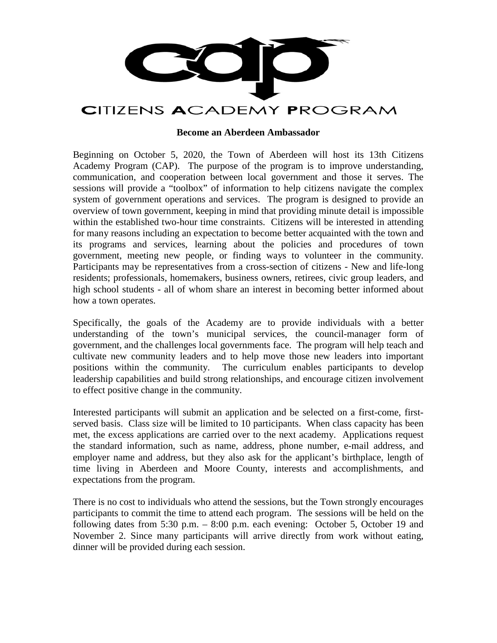

# **Become an Aberdeen Ambassador**

Beginning on October 5, 2020, the Town of Aberdeen will host its 13th Citizens Academy Program (CAP). The purpose of the program is to improve understanding, communication, and cooperation between local government and those it serves. The sessions will provide a "toolbox" of information to help citizens navigate the complex system of government operations and services. The program is designed to provide an overview of town government, keeping in mind that providing minute detail is impossible within the established two-hour time constraints. Citizens will be interested in attending for many reasons including an expectation to become better acquainted with the town and its programs and services, learning about the policies and procedures of town government, meeting new people, or finding ways to volunteer in the community. Participants may be representatives from a cross-section of citizens - New and life-long residents; professionals, homemakers, business owners, retirees, civic group leaders, and high school students - all of whom share an interest in becoming better informed about how a town operates.

Specifically, the goals of the Academy are to provide individuals with a better understanding of the town's municipal services, the council-manager form of government, and the challenges local governments face. The program will help teach and cultivate new community leaders and to help move those new leaders into important positions within the community. The curriculum enables participants to develop leadership capabilities and build strong relationships, and encourage citizen involvement to effect positive change in the community.

Interested participants will submit an application and be selected on a first-come, firstserved basis. Class size will be limited to 10 participants. When class capacity has been met, the excess applications are carried over to the next academy. Applications request the standard information, such as name, address, phone number, e-mail address, and employer name and address, but they also ask for the applicant's birthplace, length of time living in Aberdeen and Moore County, interests and accomplishments, and expectations from the program.

There is no cost to individuals who attend the sessions, but the Town strongly encourages participants to commit the time to attend each program. The sessions will be held on the following dates from 5:30 p.m. – 8:00 p.m. each evening: October 5, October 19 and November 2. Since many participants will arrive directly from work without eating, dinner will be provided during each session.